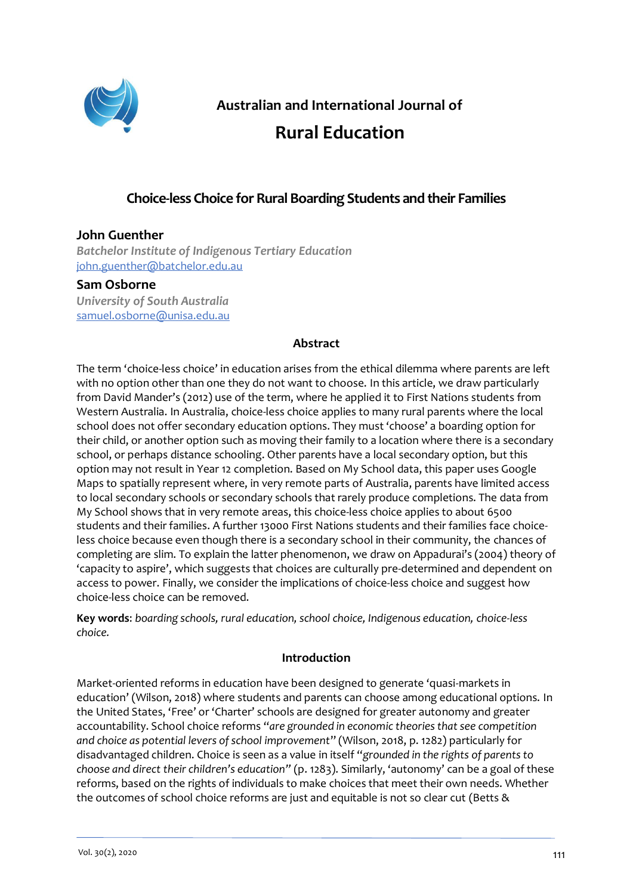

**Australian and International Journal of**

# **Rural Education**

# **Choice-less Choice for Rural Boarding Students and their Families**

# **John Guenther**

*Batchelor Institute of Indigenous Tertiary Education* [john.guenther@batchelor.edu.au](mailto:john.guenther@batchelor.edu.au)

## **Sam Osborne**

*University of South Australia* [samuel.osborne@unisa.edu.au](mailto:samuel.osborne@unisa.edu.au)

## **Abstract**

The term 'choice-less choice' in education arises from the ethical dilemma where parents are left with no option other than one they do not want to choose. In this article, we draw particularly from David Mander's (2012) use of the term, where he applied it to First Nations students from Western Australia. In Australia, choice-less choice applies to many rural parents where the local school does not offer secondary education options. They must 'choose' a boarding option for their child, or another option such as moving their family to a location where there is a secondary school, or perhaps distance schooling. Other parents have a local secondary option, but this option may not result in Year 12 completion. Based on My School data, this paper uses Google Maps to spatially represent where, in very remote parts of Australia, parents have limited access to local secondary schools or secondary schools that rarely produce completions. The data from My School shows that in very remote areas, this choice-less choice applies to about 6500 students and their families. A further 13000 First Nations students and their families face choiceless choice because even though there is a secondary school in their community, the chances of completing are slim. To explain the latter phenomenon, we draw on Appadurai's (2004) theory of 'capacity to aspire', which suggests that choices are culturally pre-determined and dependent on access to power. Finally, we consider the implications of choice-less choice and suggest how choice-less choice can be removed.

**Key words**: *boarding schools, rural education, school choice, Indigenous education, choice-less choice.*

#### **Introduction**

Market-oriented reforms in education have been designed to generate 'quasi-markets in education' (Wilson, 2018) where students and parents can choose among educational options. In the United States, 'Free' or 'Charter' schools are designed for greater autonomy and greater accountability. School choice reforms "*are grounded in economic theories that see competition and choice as potential levers of school improvement*" (Wilson, 2018, p. 1282) particularly for disadvantaged children. Choice is seen as a value in itself "*grounded in the rights of parents to choose and direct their children's education"* (p. 1283). Similarly, 'autonomy' can be a goal of these reforms, based on the rights of individuals to make choices that meet their own needs. Whether the outcomes of school choice reforms are just and equitable is not so clear cut (Betts &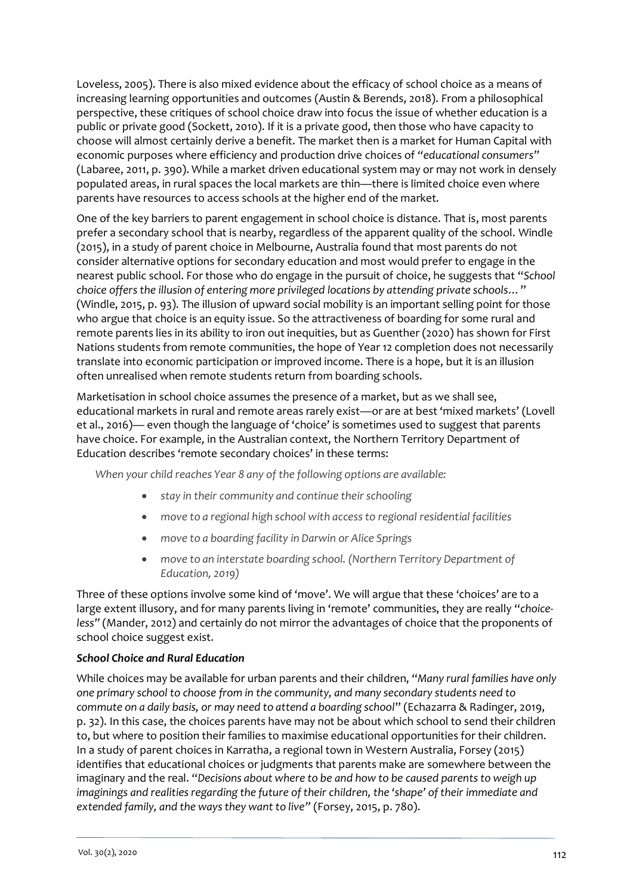Loveless, 2005). There is also mixed evidence about the efficacy of school choice as a means of increasing learning opportunities and outcomes (Austin & Berends, 2018). From a philosophical perspective, these critiques of school choice draw into focus the issue of whether education is a public or private good (Sockett, 2010). If it is a private good, then those who have capacity to choose will almost certainly derive a benefit. The market then is a market for Human Capital with economic purposes where efficiency and production drive choices of *"educational consumers"* (Labaree, 2011, p. 390). While a market driven educational system may or may not work in densely populated areas, in rural spaces the local markets are thin—there is limited choice even where parents have resources to access schools at the higher end of the market.

One of the key barriers to parent engagement in school choice is distance. That is, most parents prefer a secondary school that is nearby, regardless of the apparent quality of the school. Windle (2015), in a study of parent choice in Melbourne, Australia found that most parents do not consider alternative options for secondary education and most would prefer to engage in the nearest public school. For those who do engage in the pursuit of choice, he suggests that "*School choice offers the illusion of entering more privileged locations by attending private schools…*" (Windle, 2015, p. 93). The illusion of upward social mobility is an important selling point for those who argue that choice is an equity issue. So the attractiveness of boarding for some rural and remote parents lies in its ability to iron out inequities, but as Guenther (2020) has shown for First Nations students from remote communities, the hope of Year 12 completion does not necessarily translate into economic participation or improved income. There is a hope, but it is an illusion often unrealised when remote students return from boarding schools.

Marketisation in school choice assumes the presence of a market, but as we shall see, educational markets in rural and remote areas rarely exist—or are at best 'mixed markets' (Lovell et al., 2016)— even though the language of 'choice' is sometimes used to suggest that parents have choice. For example, in the Australian context, the Northern Territory Department of Education describes 'remote secondary choices' in these terms:

*When your child reaches Year 8 any of the following options are available:*

- *stay in their community and continue their schooling*
- *move to a regional high school with access to regional residential facilities*
- *move to a boarding facility in Darwin or Alice Springs*
- *move to an interstate boarding school. (Northern Territory Department of Education, 2019)*

Three of these options involve some kind of 'move'. We will argue that these 'choices' are to a large extent illusory, and for many parents living in 'remote' communities, they are really "*choiceless"* (Mander, 2012) and certainly do not mirror the advantages of choice that the proponents of school choice suggest exist.

#### *School Choice and Rural Education*

While choices may be available for urban parents and their children, "*Many rural families have only one primary school to choose from in the community, and many secondary students need to commute on a daily basis, or may need to attend a boarding school*" (Echazarra & Radinger, 2019, p. 32). In this case, the choices parents have may not be about which school to send their children to, but where to position their families to maximise educational opportunities for their children. In a study of parent choices in Karratha, a regional town in Western Australia, Forsey (2015) identifies that educational choices or judgments that parents make are somewhere between the imaginary and the real. "*Decisions about where to be and how to be caused parents to weigh up imaginings and realities regarding the future of their children, the 'shape' of their immediate and extended family, and the ways they want to live"* (Forsey, 2015, p. 780).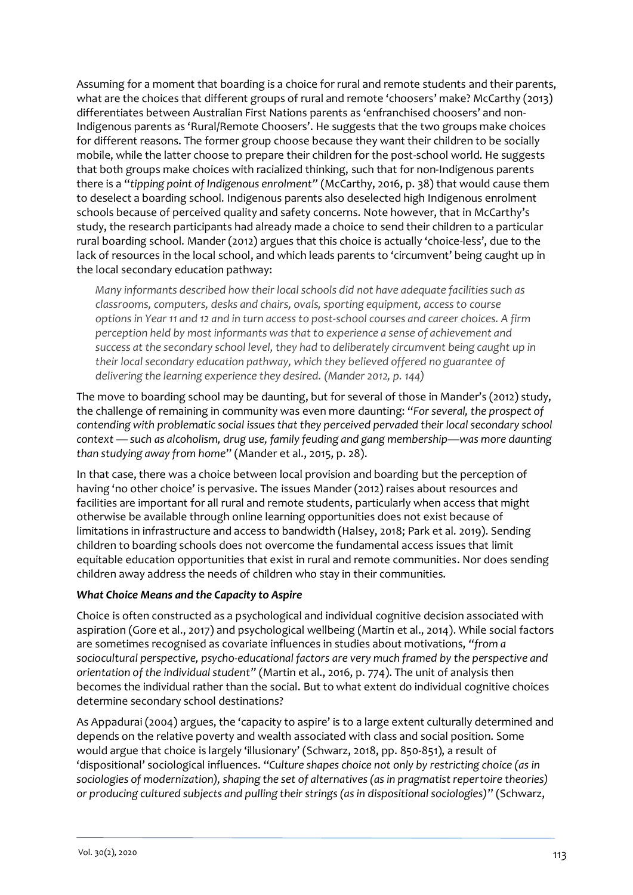Assuming for a moment that boarding is a choice for rural and remote students and their parents, what are the choices that different groups of rural and remote 'choosers' make? McCarthy (2013) differentiates between Australian First Nations parents as 'enfranchised choosers' and non-Indigenous parents as 'Rural/Remote Choosers'. He suggests that the two groups make choices for different reasons. The former group choose because they want their children to be socially mobile, while the latter choose to prepare their children for the post-school world. He suggests that both groups make choices with racialized thinking, such that for non-Indigenous parents there is a "*tipping point of Indigenous enrolment"* (McCarthy, 2016, p. 38) that would cause them to deselect a boarding school. Indigenous parents also deselected high Indigenous enrolment schools because of perceived quality and safety concerns. Note however, that in McCarthy's study, the research participants had already made a choice to send their children to a particular rural boarding school. Mander (2012) argues that this choice is actually 'choice-less', due to the lack of resources in the local school, and which leads parents to 'circumvent' being caught up in the local secondary education pathway:

*Many informants described how their local schools did not have adequate facilities such as classrooms, computers, desks and chairs, ovals, sporting equipment, access to course options in Year 11 and 12 and in turn access to post-school courses and career choices. A firm perception held by most informants was that to experience a sense of achievement and success at the secondary school level, they had to deliberately circumvent being caught up in their local secondary education pathway, which they believed offered no guarantee of delivering the learning experience they desired. (Mander 2012, p. 144)*

The move to boarding school may be daunting, but for several of those in Mander's (2012) study, the challenge of remaining in community was even more daunting: "*For several, the prospect of contending with problematic social issues that they perceived pervaded their local secondary school context — such as alcoholism, drug use, family feuding and gang membership—was more daunting than studying away from home*" (Mander et al., 2015, p. 28).

In that case, there was a choice between local provision and boarding but the perception of having 'no other choice' is pervasive. The issues Mander (2012) raises about resources and facilities are important for all rural and remote students, particularly when access that might otherwise be available through online learning opportunities does not exist because of limitations in infrastructure and access to bandwidth (Halsey, 2018; Park et al. 2019). Sending children to boarding schools does not overcome the fundamental access issues that limit equitable education opportunities that exist in rural and remote communities. Nor does sending children away address the needs of children who stay in their communities.

#### *What Choice Means and the Capacity to Aspire*

Choice is often constructed as a psychological and individual cognitive decision associated with aspiration (Gore et al., 2017) and psychological wellbeing (Martin et al., 2014). While social factors are sometimes recognised as covariate influences in studies about motivations, *"from a sociocultural perspective, psycho-educational factors are very much framed by the perspective and orientation of the individual student"* (Martin et al., 2016, p. 774). The unit of analysis then becomes the individual rather than the social. But to what extent do individual cognitive choices determine secondary school destinations?

As Appadurai (2004) argues, the 'capacity to aspire' is to a large extent culturally determined and depends on the relative poverty and wealth associated with class and social position. Some would argue that choice is largely 'illusionary' (Schwarz, 2018, pp. 850-851), a result of 'dispositional' sociological influences. "*Culture shapes choice not only by restricting choice (as in sociologies of modernization), shaping the set of alternatives (as in pragmatist repertoire theories) or producing cultured subjects and pulling their strings (as in dispositional sociologies)*" (Schwarz,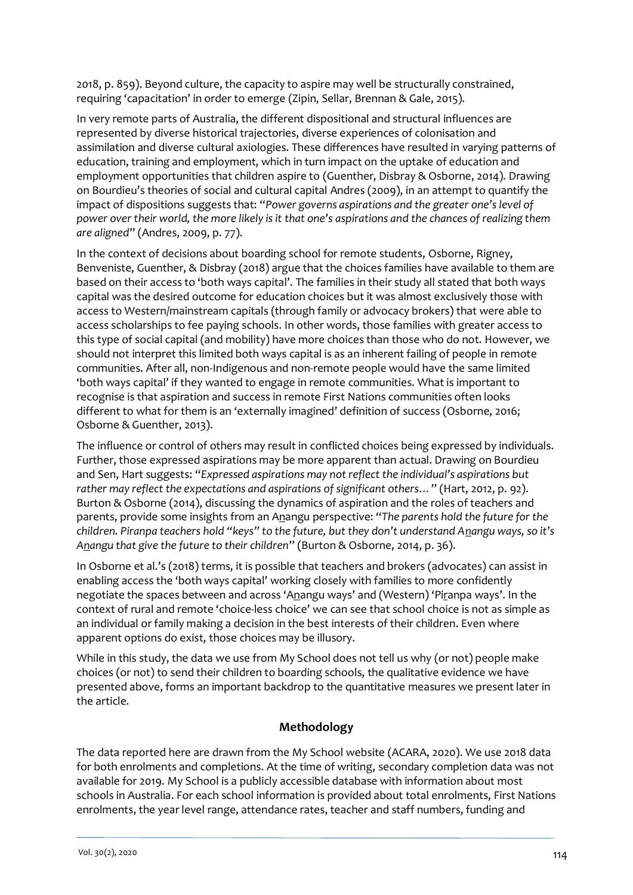2018, p. 859). Beyond culture, the capacity to aspire may well be structurally constrained, requiring 'capacitation' in order to emerge (Zipin, Sellar, Brennan & Gale, 2015).

In very remote parts of Australia, the different dispositional and structural influences are represented by diverse historical trajectories, diverse experiences of colonisation and assimilation and diverse cultural axiologies. These differences have resulted in varying patterns of education, training and employment, which in turn impact on the uptake of education and employment opportunities that children aspire to (Guenther, Disbray & Osborne, 2014). Drawing on Bourdieu's theories of social and cultural capital Andres (2009), in an attempt to quantify the impact of dispositions suggests that: "*Power governs aspirations and the greater one's level of power over their world, the more likely is it that one's aspirations and the chances of realizing them are aligned*" (Andres, 2009, p. 77).

In the context of decisions about boarding school for remote students, Osborne, Rigney, Benveniste, Guenther, & Disbray (2018) argue that the choices families have available to them are based on their access to 'both ways capital'. The families in their study all stated that both ways capital was the desired outcome for education choices but it was almost exclusively those with access to Western/mainstream capitals (through family or advocacy brokers) that were able to access scholarships to fee paying schools. In other words, those families with greater access to this type of social capital (and mobility) have more choices than those who do not. However, we should not interpret this limited both ways capital is as an inherent failing of people in remote communities. After all, non-Indigenous and non-remote people would have the same limited 'both ways capital' if they wanted to engage in remote communities. What is important to recognise is that aspiration and success in remote First Nations communities often looks different to what for them is an 'externally imagined' definition of success (Osborne, 2016; Osborne & Guenther, 2013).

The influence or control of others may result in conflicted choices being expressed by individuals. Further, those expressed aspirations may be more apparent than actual. Drawing on Bourdieu and Sen, Hart suggests: "*Expressed aspirations may not reflect the individual's aspirations but rather may reflect the expectations and aspirations of significant others…*" (Hart, 2012, p. 92). Burton & Osborne (2014), discussing the dynamics of aspiration and the roles of teachers and parents, provide some insights from an Anangu perspective: "*The parents hold the future for the children. Piranpa teachers hold "keys" to the future, but they don't understand Anangu ways, so it's Anangu that give the future to their children*" (Burton & Osborne, 2014, p. 36).

In Osborne et al.'s (2018) terms, it is possible that teachers and brokers (advocates) can assist in enabling access the 'both ways capital' working closely with families to more confidently negotiate the spaces between and across 'Anangu ways' and (Western) 'Piranpa ways'. In the context of rural and remote 'choice-less choice' we can see that school choice is not as simple as an individual or family making a decision in the best interests of their children. Even where apparent options do exist, those choices may be illusory.

While in this study, the data we use from My School does not tell us why (or not) people make choices (or not) to send their children to boarding schools, the qualitative evidence we have presented above, forms an important backdrop to the quantitative measures we present later in the article.

# **Methodology**

The data reported here are drawn from the My School website (ACARA, 2020). We use 2018 data for both enrolments and completions. At the time of writing, secondary completion data was not available for 2019. My School is a publicly accessible database with information about most schools in Australia. For each school information is provided about total enrolments, First Nations enrolments, the year level range, attendance rates, teacher and staff numbers, funding and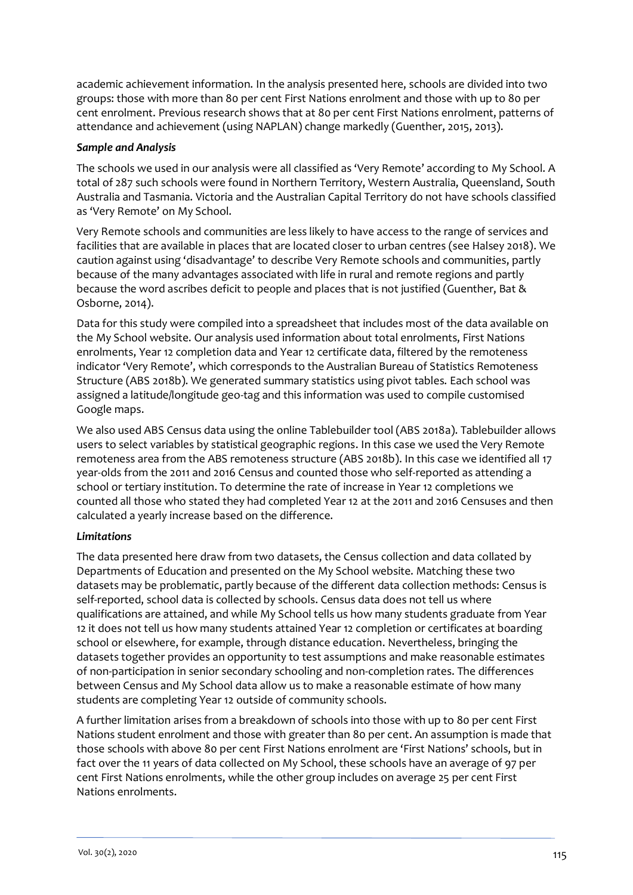academic achievement information. In the analysis presented here, schools are divided into two groups: those with more than 80 per cent First Nations enrolment and those with up to 80 per cent enrolment. Previous research shows that at 80 per cent First Nations enrolment, patterns of attendance and achievement (using NAPLAN) change markedly (Guenther, 2015, 2013).

#### *Sample and Analysis*

The schools we used in our analysis were all classified as 'Very Remote' according to My School. A total of 287 such schools were found in Northern Territory, Western Australia, Queensland, South Australia and Tasmania. Victoria and the Australian Capital Territory do not have schools classified as 'Very Remote' on My School.

Very Remote schools and communities are less likely to have access to the range of services and facilities that are available in places that are located closer to urban centres (see Halsey 2018). We caution against using 'disadvantage' to describe Very Remote schools and communities, partly because of the many advantages associated with life in rural and remote regions and partly because the word ascribes deficit to people and places that is not justified (Guenther, Bat & Osborne, 2014).

Data for this study were compiled into a spreadsheet that includes most of the data available on the My School website. Our analysis used information about total enrolments, First Nations enrolments, Year 12 completion data and Year 12 certificate data, filtered by the remoteness indicator 'Very Remote', which corresponds to the Australian Bureau of Statistics Remoteness Structure (ABS 2018b). We generated summary statistics using pivot tables. Each school was assigned a latitude/longitude geo-tag and this information was used to compile customised Google maps.

We also used ABS Census data using the online Tablebuilder tool (ABS 2018a). Tablebuilder allows users to select variables by statistical geographic regions. In this case we used the Very Remote remoteness area from the ABS remoteness structure (ABS 2018b). In this case we identified all 17 year-olds from the 2011 and 2016 Census and counted those who self-reported as attending a school or tertiary institution. To determine the rate of increase in Year 12 completions we counted all those who stated they had completed Year 12 at the 2011 and 2016 Censuses and then calculated a yearly increase based on the difference.

#### *Limitations*

The data presented here draw from two datasets, the Census collection and data collated by Departments of Education and presented on the My School website. Matching these two datasets may be problematic, partly because of the different data collection methods: Census is self-reported, school data is collected by schools. Census data does not tell us where qualifications are attained, and while My School tells us how many students graduate from Year 12 it does not tell us how many students attained Year 12 completion or certificates at boarding school or elsewhere, for example, through distance education. Nevertheless, bringing the datasets together provides an opportunity to test assumptions and make reasonable estimates of non-participation in senior secondary schooling and non-completion rates. The differences between Census and My School data allow us to make a reasonable estimate of how many students are completing Year 12 outside of community schools.

A further limitation arises from a breakdown of schools into those with up to 80 per cent First Nations student enrolment and those with greater than 80 per cent. An assumption is made that those schools with above 80 per cent First Nations enrolment are 'First Nations' schools, but in fact over the 11 years of data collected on My School, these schools have an average of 97 per cent First Nations enrolments, while the other group includes on average 25 per cent First Nations enrolments.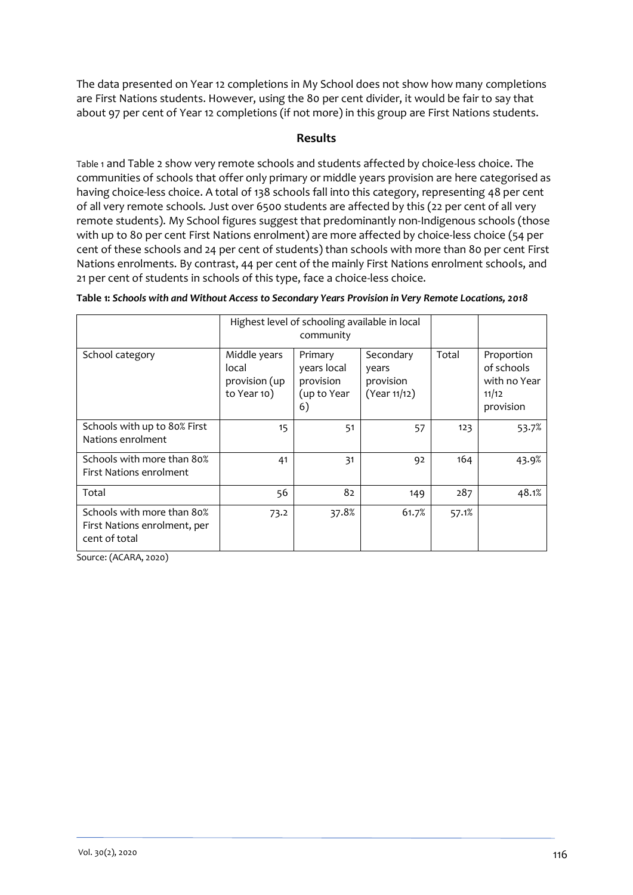The data presented on Year 12 completions in My School does not show how many completions are First Nations students. However, using the 80 per cent divider, it would be fair to say that about 97 per cent of Year 12 completions (if not more) in this group are First Nations students.

### **Results**

[Table 1](#page-5-0) and Table 2 show very remote schools and students affected by choice-less choice. The communities of schools that offer only primary or middle years provision are here categorised as having choice-less choice. A total of 138 schools fall into this category, representing 48 per cent of all very remote schools. Just over 6500 students are affected by this (22 per cent of all very remote students). My School figures suggest that predominantly non-Indigenous schools (those with up to 80 per cent First Nations enrolment) are more affected by choice-less choice (54 per cent of these schools and 24 per cent of students) than schools with more than 80 per cent First Nations enrolments. By contrast, 44 per cent of the mainly First Nations enrolment schools, and 21 per cent of students in schools of this type, face a choice-less choice.

|                                                                             |                                                                                                                   | Highest level of schooling available in local<br>community |                                                 |       |                                                                |
|-----------------------------------------------------------------------------|-------------------------------------------------------------------------------------------------------------------|------------------------------------------------------------|-------------------------------------------------|-------|----------------------------------------------------------------|
| School category                                                             | Middle years<br>Primary<br>years local<br>local<br>provision (up<br>provision<br>to Year 10)<br>(up to Year<br>6) |                                                            | Secondary<br>years<br>provision<br>(Year 11/12) | Total | Proportion<br>of schools<br>with no Year<br>11/12<br>provision |
| Schools with up to 80% First<br>Nations enrolment                           | 15                                                                                                                | 51                                                         | 57                                              | 123   | 53.7%                                                          |
| Schools with more than 80%<br>First Nations enrolment                       | 41                                                                                                                | 31                                                         | 92                                              | 164   | 43.9%                                                          |
| Total                                                                       | 56                                                                                                                | 82                                                         | 149                                             | 287   | 48.1%                                                          |
| Schools with more than 80%<br>First Nations enrolment, per<br>cent of total | 73.2                                                                                                              | 37.8%                                                      | 61.7%                                           | 57.1% |                                                                |

<span id="page-5-0"></span>**Table 1:** *Schools with and Without Access to Secondary Years Provision in Very Remote Locations, 2018*

<span id="page-5-1"></span>Source: (ACARA, 2020)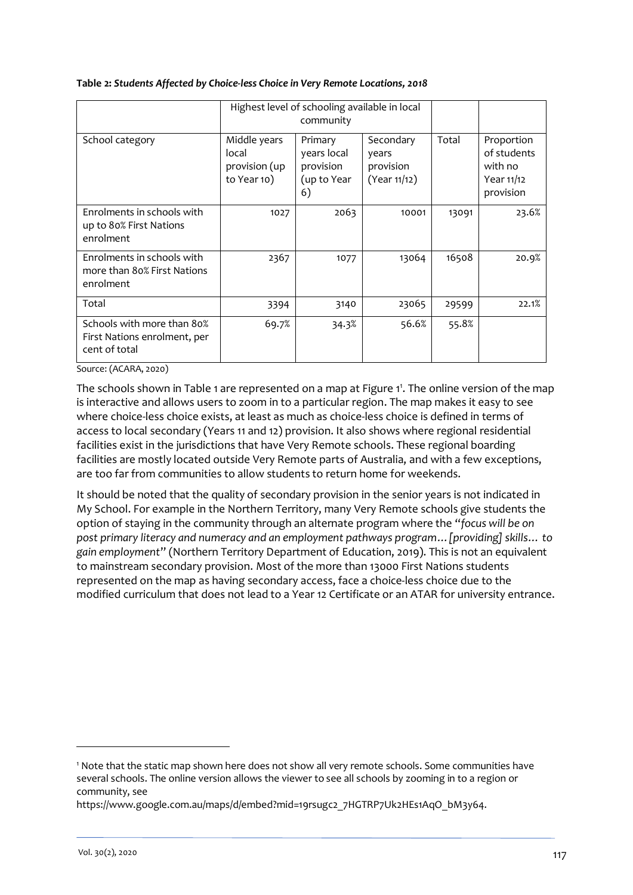|                                                                             |                                                                                                                   | Highest level of schooling available in local<br>community |                                                          |       |                                                                 |  |
|-----------------------------------------------------------------------------|-------------------------------------------------------------------------------------------------------------------|------------------------------------------------------------|----------------------------------------------------------|-------|-----------------------------------------------------------------|--|
| School category                                                             | Middle years<br>Primary<br>local<br>years local<br>provision (up<br>provision<br>to Year 10)<br>(up to Year<br>6) |                                                            | Secondary<br>Total<br>years<br>provision<br>(Year 11/12) |       | Proportion<br>of students<br>with no<br>Year 11/12<br>provision |  |
| Enrolments in schools with<br>up to 80% First Nations<br>enrolment          | 1027                                                                                                              | 2063                                                       | 10001                                                    | 13091 | 23.6%                                                           |  |
| Enrolments in schools with<br>more than 80% First Nations<br>enrolment      | 2367                                                                                                              | 1077                                                       | 13064                                                    | 16508 | 20.9%                                                           |  |
| Total                                                                       | 3394                                                                                                              | 3140                                                       | 23065                                                    | 29599 | 22.1%                                                           |  |
| Schools with more than 80%<br>First Nations enrolment, per<br>cent of total | 69.7%                                                                                                             | 34.3%                                                      | 56.6%                                                    | 55.8% |                                                                 |  |

#### **Table 2:** *Students Affected by Choice-less Choice in Very Remote Locations, 2018*

Source: (ACARA, 2020)

The schools shown in [Table 1](#page-5-0) are represented on a map at Figure 1<sup>1</sup>. Th[e online version](https://drive.google.com/open?id=19rsugc2_7HGTRP7Uk2HEs1AqO_bM3y64&usp=sharing) of the map is interactive and allows users to zoom in to a particular region. The map makes it easy to see where choice-less choice exists, at least as much as choice-less choice is defined in terms of access to local secondary (Years 11 and 12) provision. It also shows where regional residential facilities exist in the jurisdictions that have Very Remote schools. These regional boarding facilities are mostly located outside Very Remote parts of Australia, and with a few exceptions, are too far from communities to allow students to return home for weekends.

It should be noted that the quality of secondary provision in the senior years is not indicated in My School. For example in the Northern Territory, many Very Remote schools give students the option of staying in the community through an alternate program where the "*focus will be on post primary literacy and numeracy and an employment pathways program…[providing] skills… to gain employment*" (Northern Territory Department of Education, 2019). This is not an equivalent to mainstream secondary provision. Most of the more than 13000 First Nations students represented on the map as having secondary access, face a choice-less choice due to the modified curriculum that does not lead to a Year 12 Certificate or an ATAR for university entrance.

-

<sup>1</sup> Note that the static map shown here does not show all very remote schools. Some communities have several schools. The online version allows the viewer to see all schools by zooming in to a region or community, see

https://www.google.com.au/maps/d/embed?mid=19rsugc2\_7HGTRP7Uk2HEs1AqO\_bM3y64.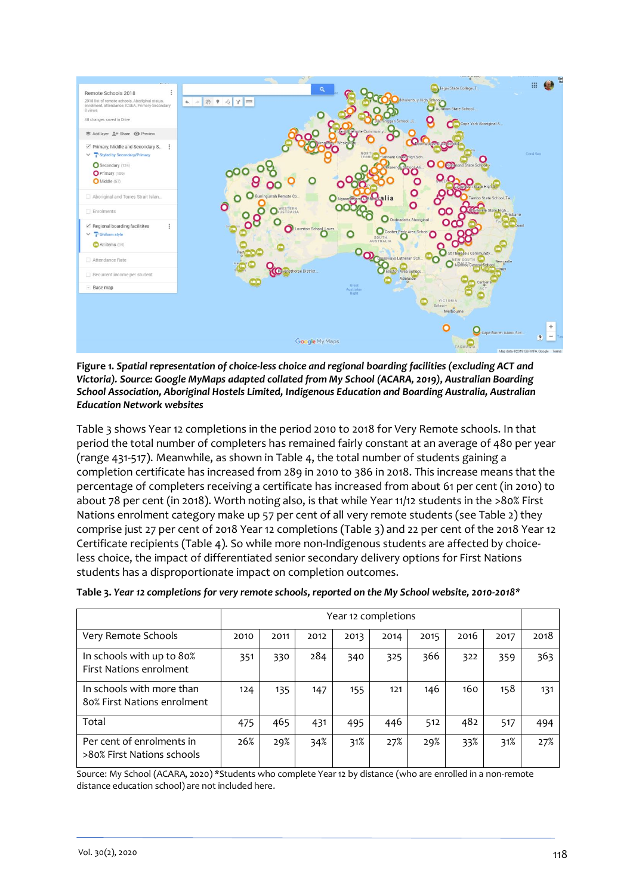<span id="page-7-0"></span>

<span id="page-7-2"></span>**Figure 1.** *Spatial representation of choice-less choice and regional boarding facilities (excluding ACT and Victoria). Source[: Google MyMaps](https://drive.google.com/open?id=19rsugc2_7HGTRP7Uk2HEs1AqO_bM3y64&usp=sharing) adapted collated from My School (ACARA, 2019), Australian Boarding School Association, Aboriginal Hostels Limited, Indigenous Education and Boarding Australia, Australian Education Network websites*

Table 3 shows Year 12 completions in the period 2010 to 2018 for Very Remote schools. In that period the total number of completers has remained fairly constant at an average of 480 per year (range 431-517). Meanwhile, as shown i[n Table 4,](#page-7-0) the total number of students gaining a completion certificate has increased from 289 in 2010 to 386 in 2018. This increase means that the percentage of completers receiving a certificate has increased from about 61 per cent (in 2010) to about 78 per cent (in 2018). Worth noting also, is that while Year 11/12 students in the >80% First Nations enrolment category make up 57 per cent of all very remote students (see Table 2) they comprise just 27 per cent of 2018 Year 12 completions (Table 3) and 22 per cent of the 2018 Year 12 Certificate recipients (Table 4). So while more non-Indigenous students are affected by choiceless choice, the impact of differentiated senior secondary delivery options for First Nations students has a disproportionate impact on completion outcomes.

|                                                          | Year 12 completions |      |      |      |      |      |      |      |      |
|----------------------------------------------------------|---------------------|------|------|------|------|------|------|------|------|
| Very Remote Schools                                      | 2010                | 2011 | 2012 | 2013 | 2014 | 2015 | 2016 | 2017 | 2018 |
| In schools with up to 80%<br>First Nations enrolment     | 351                 | 330  | 284  | 340  | 325  | 366  | 322  | 359  | 363  |
| In schools with more than<br>80% First Nations enrolment | 124                 | 135  | 147  | 155  | 121  | 146  | 160  | 158  | 131  |
| Total                                                    | 475                 | 465  | 431  | 495  | 446  | 512  | 482  | 517  | 494  |
| Per cent of enrolments in<br>>80% First Nations schools  | 26%                 | 29%  | 34%  | 31%  | 27%  | 29%  | 33%  | 31%  | 27%  |

<span id="page-7-1"></span>

|  |  | *Table 3. Year 12 completions for very remote schools, reported on the My School website, 2010-2018 |
|--|--|-----------------------------------------------------------------------------------------------------|
|  |  |                                                                                                     |

Source: My School (ACARA, 2020) \*Students who complete Year 12 by distance (who are enrolled in a non-remote distance education school) are not included here.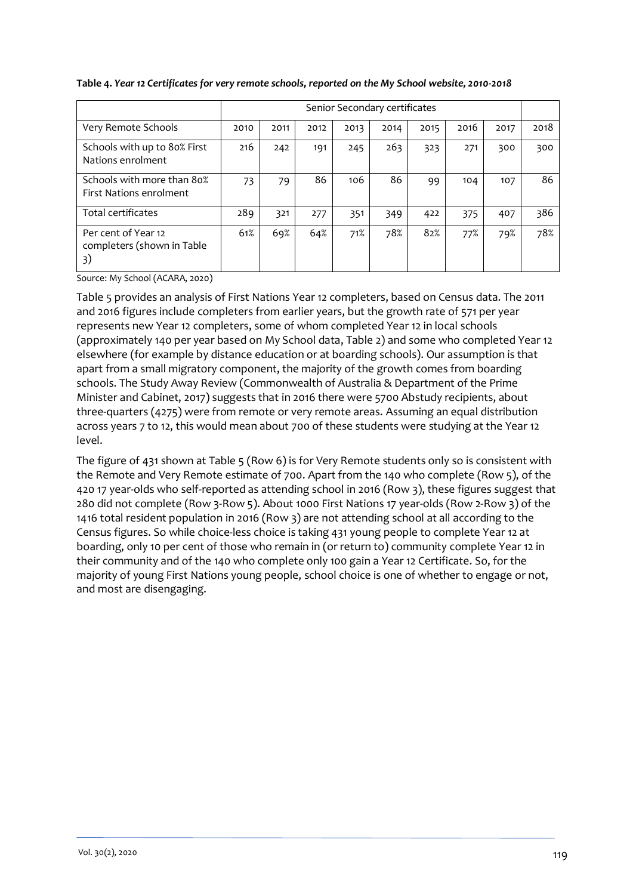|                                                              | Senior Secondary certificates |      |      |      |      |      |      |      |      |
|--------------------------------------------------------------|-------------------------------|------|------|------|------|------|------|------|------|
| Very Remote Schools                                          | 2010                          | 2011 | 2012 | 2013 | 2014 | 2015 | 2016 | 2017 | 2018 |
| Schools with up to 80% First<br>Nations enrolment            | 216                           | 242  | 191  | 245  | 263  | 323  | 271  | 300  | 300  |
| Schools with more than 80%<br><b>First Nations enrolment</b> | 73                            | 79   | 86   | 106  | 86   | 99   | 104  | 107  | 86   |
| Total certificates                                           | 289                           | 321  | 277  | 351  | 349  | 422  | 375  | 407  | 386  |
| Per cent of Year 12<br>completers (shown in Table<br>3)      | 61%                           | 69%  | 64%  | 71%  | 78%  | 82%  | 77%  | 79%  | 78%  |

#### <span id="page-8-0"></span>**Table 4.** *Year 12 Certificates for very remote schools, reported on the My School website, 2010-2018*

Source: My School (ACARA, 2020)

[Table 5](#page-8-0) provides an analysis of First Nations Year 12 completers, based on Census data. The 2011 and 2016 figures include completers from earlier years, but the growth rate of 571 per year represents new Year 12 completers, some of whom completed Year 12 in local schools (approximately 140 per year based on My School data, Table 2) and some who completed Year 12 elsewhere (for example by distance education or at boarding schools). Our assumption is that apart from a small migratory component, the majority of the growth comes from boarding schools. The Study Away Review (Commonwealth of Australia & Department of the Prime Minister and Cabinet, 2017) suggests that in 2016 there were 5700 Abstudy recipients, about three-quarters (4275) were from remote or very remote areas. Assuming an equal distribution across years 7 to 12, this would mean about 700 of these students were studying at the Year 12 level.

The figure of 431 shown at [Table 5](#page-8-0) (Row 6) is for Very Remote students only so is consistent with the Remote and Very Remote estimate of 700. Apart from the 140 who complete (Row 5), of the 420 17 year-olds who self-reported as attending school in 2016 (Row 3), these figures suggest that 280 did not complete (Row 3-Row 5). About 1000 First Nations 17 year-olds (Row 2-Row 3) of the 1416 total resident population in 2016 (Row 3) are not attending school at all according to the Census figures. So while choice-less choice is taking 431 young people to complete Year 12 at boarding, only 10 per cent of those who remain in (or return to) community complete Year 12 in their community and of the 140 who complete only 100 gain a Year 12 Certificate. So, for the majority of young First Nations young people, school choice is one of whether to engage or not, and most are disengaging.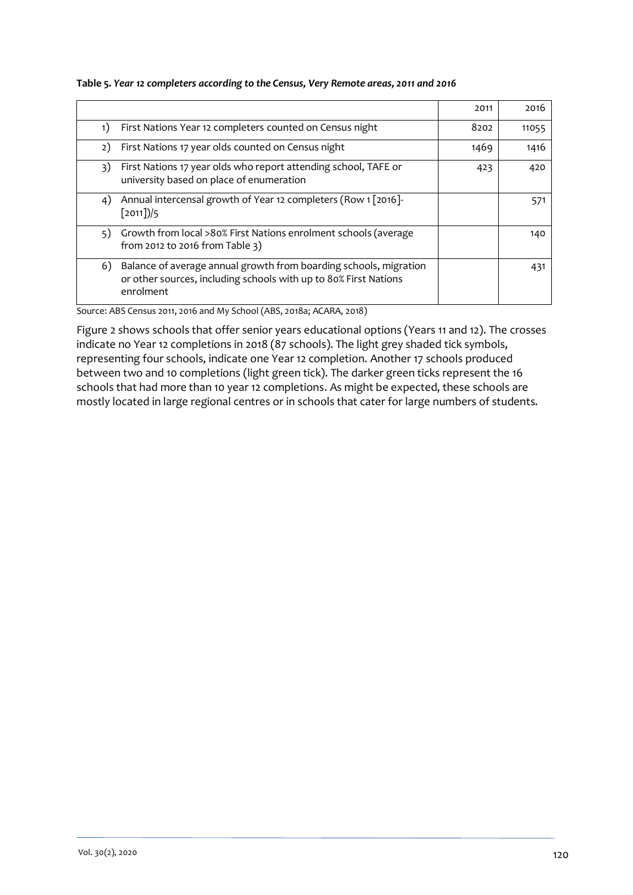|                                                                                                                                                          | 2011 | 2016  |
|----------------------------------------------------------------------------------------------------------------------------------------------------------|------|-------|
| First Nations Year 12 completers counted on Census night<br>1)                                                                                           | 8202 | 11055 |
| First Nations 17 year olds counted on Census night<br>2)                                                                                                 | 1469 | 1416  |
| First Nations 17 year olds who report attending school, TAFE or<br>3)<br>university based on place of enumeration                                        | 423  | 420   |
| Annual intercensal growth of Year 12 completers (Row 1 [2016]-<br>4)<br>$[2011]$                                                                         |      | 571   |
| Growth from local >80% First Nations enrolment schools (average<br>5)<br>from 2012 to 2016 from Table 3)                                                 |      | 140   |
| Balance of average annual growth from boarding schools, migration<br>6)<br>or other sources, including schools with up to 80% First Nations<br>enrolment |      | 431   |

#### **Table 5***. Year 12 completers according to the Census, Very Remote areas, 2011 and 2016*

Source: ABS Census 2011, 2016 and My School (ABS, 2018a; ACARA, 2018)

[Figure 2](#page-10-0) shows schools that offer senior years educational options (Years 11 and 12). The crosses indicate no Year 12 completions in 2018 (87 schools). The light grey shaded tick symbols, representing four schools, indicate one Year 12 completion. Another 17 schools produced between two and 10 completions (light green tick). The darker green ticks represent the 16 schools that had more than 10 year 12 completions. As might be expected, these schools are mostly located in large regional centres or in schools that cater for large numbers of students.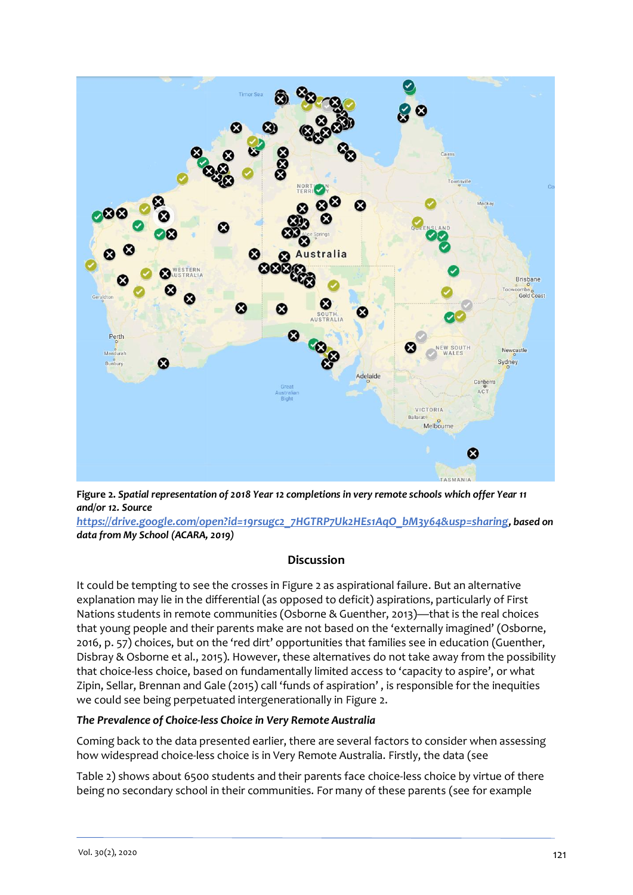

<span id="page-10-0"></span>**Figure 2.** *Spatial representation of 2018 Year 12 completions in very remote schools which offer Year 11 and/or 12. Source* 

*[https://drive.google.com/open?id=19rsugc2\\_7HGTRP7Uk2HEs1AqO\\_bM3y64&usp=sharing](https://drive.google.com/open?id=19rsugc2_7HGTRP7Uk2HEs1AqO_bM3y64&usp=sharing), based on data from My School (ACARA, 2019)*

#### **Discussion**

It could be tempting to see the crosses in [Figure 2](#page-10-0) as aspirational failure. But an alternative explanation may lie in the differential (as opposed to deficit) aspirations, particularly of First Nations students in remote communities (Osborne & Guenther, 2013)—that is the real choices that young people and their parents make are not based on the 'externally imagined' (Osborne, 2016, p. 57) choices, but on the 'red dirt' opportunities that families see in education (Guenther, Disbray & Osborne et al., 2015). However, these alternatives do not take away from the possibility that choice-less choice, based on fundamentally limited access to 'capacity to aspire', or what Zipin, Sellar, Brennan and Gale (2015) call 'funds of aspiration' , is responsible for the inequities we could see being perpetuated intergenerationally in [Figure 2.](#page-10-0)

#### *The Prevalence of Choice-less Choice in Very Remote Australia*

Coming back to the data presented earlier, there are several factors to consider wh[en assessing](#page-5-1)  how widespread choice-less choice is in Very Remote Australia. Firstly, the data (see

[Table 2\)](#page-5-1) shows about 6500 students and their parents face choice-less choice by virtue of there being no secondary school in their communities. For many of these parents (see for example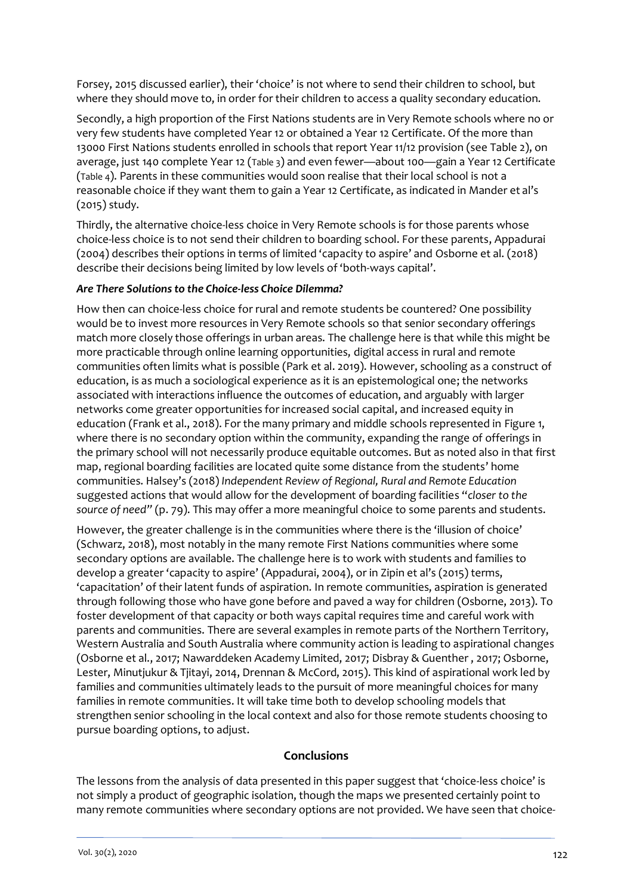Forsey, 2015 discussed earlier), their 'choice' is not where to send their children to school, but where they should move to, in order for their children to access a quality secondary education.

Secondly, a high proportion of the First Nations students are in Very Remote schools where no or very few students have completed Year 12 or obtained a Year 12 Certificate. Of the more than 13000 First Nations students enrolled in schools that report Year 11/12 provision (see Table 2), on average, just 140 complete Year 12 ([Table 3](#page-7-1)) and even fewer—about 100—gain a Year 12 Certificate ([Table 4](#page-7-0)). Parents in these communities would soon realise that their local school is not a reasonable choice if they want them to gain a Year 12 Certificate, as indicated in Mander et al's (2015) study.

Thirdly, the alternative choice-less choice in Very Remote schools is for those parents whose choice-less choice is to not send their children to boarding school. For these parents, Appadurai (2004) describes their options in terms of limited 'capacity to aspire' and Osborne et al. (2018) describe their decisions being limited by low levels of 'both-ways capital'.

## *Are There Solutions to the Choice-less Choice Dilemma?*

How then can choice-less choice for rural and remote students be countered? One possibility would be to invest more resources in Very Remote schools so that senior secondary offerings match more closely those offerings in urban areas. The challenge here is that while this might be more practicable through online learning opportunities, digital access in rural and remote communities often limits what is possible (Park et al. 2019). However, schooling as a construct of education, is as much a sociological experience as it is an epistemological one; the networks associated with interactions influence the outcomes of education, and arguably with larger networks come greater opportunities for increased social capital, and increased equity in education (Frank et al., 2018). For the many primary and middle schools represented in [Figure 1,](#page-7-2) where there is no secondary option within the community, expanding the range of offerings in the primary school will not necessarily produce equitable outcomes. But as noted also in that first map, regional boarding facilities are located quite some distance from the students' home communities. Halsey's (2018) *Independent Review of Regional, Rural and Remote Education* suggested actions that would allow for the development of boarding facilities "*closer to the source of need"* (p. 79). This may offer a more meaningful choice to some parents and students.

However, the greater challenge is in the communities where there is the 'illusion of choice' (Schwarz, 2018), most notably in the many remote First Nations communities where some secondary options are available. The challenge here is to work with students and families to develop a greater 'capacity to aspire' (Appadurai, 2004), or in Zipin et al's (2015) terms, 'capacitation' of their latent funds of aspiration. In remote communities, aspiration is generated through following those who have gone before and paved a way for children (Osborne, 2013). To foster development of that capacity or both ways capital requires time and careful work with parents and communities. There are several examples in remote parts of the Northern Territory, Western Australia and South Australia where community action is leading to aspirational changes (Osborne et al., 2017; Nawarddeken Academy Limited, 2017; Disbray & Guenther , 2017; Osborne, Lester, Minutjukur & Tjitayi, 2014, Drennan & McCord, 2015). This kind of aspirational work led by families and communities ultimately leads to the pursuit of more meaningful choices for many families in remote communities. It will take time both to develop schooling models that strengthen senior schooling in the local context and also for those remote students choosing to pursue boarding options, to adjust.

# **Conclusions**

The lessons from the analysis of data presented in this paper suggest that 'choice-less choice' is not simply a product of geographic isolation, though the maps we presented certainly point to many remote communities where secondary options are not provided. We have seen that choice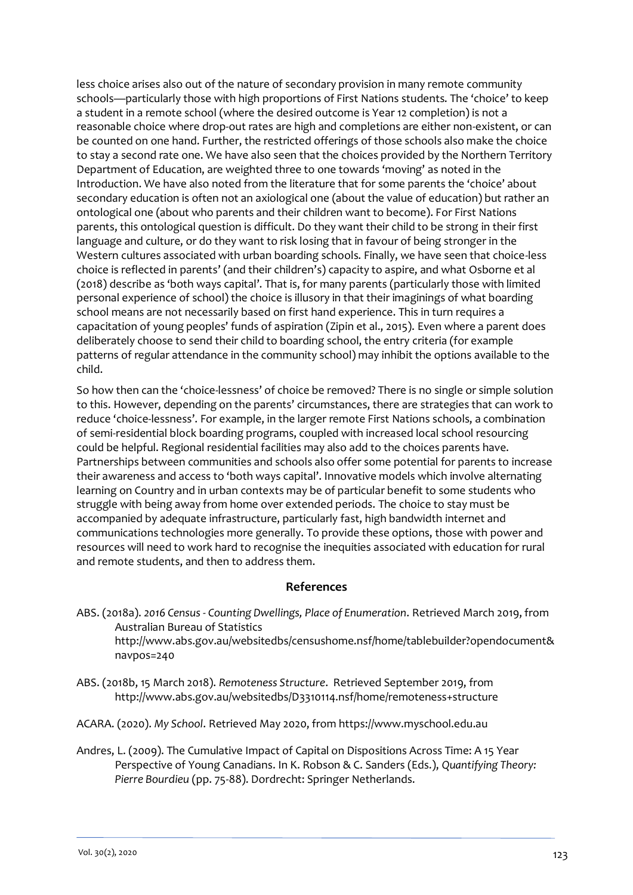less choice arises also out of the nature of secondary provision in many remote community schools—particularly those with high proportions of First Nations students. The 'choice' to keep a student in a remote school (where the desired outcome is Year 12 completion) is not a reasonable choice where drop-out rates are high and completions are either non-existent, or can be counted on one hand. Further, the restricted offerings of those schools also make the choice to stay a second rate one. We have also seen that the choices provided by the Northern Territory Department of Education, are weighted three to one towards 'moving' as noted in the Introduction. We have also noted from the literature that for some parents the 'choice' about secondary education is often not an axiological one (about the value of education) but rather an ontological one (about who parents and their children want to become). For First Nations parents, this ontological question is difficult. Do they want their child to be strong in their first language and culture, or do they want to risk losing that in favour of being stronger in the Western cultures associated with urban boarding schools. Finally, we have seen that choice-less choice is reflected in parents' (and their children's) capacity to aspire, and what Osborne et al (2018) describe as 'both ways capital'. That is, for many parents (particularly those with limited personal experience of school) the choice is illusory in that their imaginings of what boarding school means are not necessarily based on first hand experience. This in turn requires a capacitation of young peoples' funds of aspiration (Zipin et al., 2015). Even where a parent does deliberately choose to send their child to boarding school, the entry criteria (for example patterns of regular attendance in the community school) may inhibit the options available to the child.

So how then can the 'choice-lessness' of choice be removed? There is no single or simple solution to this. However, depending on the parents' circumstances, there are strategies that can work to reduce 'choice-lessness'. For example, in the larger remote First Nations schools, a combination of semi-residential block boarding programs, coupled with increased local school resourcing could be helpful. Regional residential facilities may also add to the choices parents have. Partnerships between communities and schools also offer some potential for parents to increase their awareness and access to 'both ways capital'. Innovative models which involve alternating learning on Country and in urban contexts may be of particular benefit to some students who struggle with being away from home over extended periods. The choice to stay must be accompanied by adequate infrastructure, particularly fast, high bandwidth internet and communications technologies more generally. To provide these options, those with power and resources will need to work hard to recognise the inequities associated with education for rural and remote students, and then to address them.

#### **References**

ABS. (2018a). *2016 Census - Counting Dwellings, Place of Enumeration*. Retrieved March 2019, from Australian Bureau of Statistics

http://www.abs.gov.au/websitedbs/censushome.nsf/home/tablebuilder?opendocument& navpos=240

- ABS. (2018b, 15 March 2018). *Remoteness Structure*. Retrieved September 2019, from <http://www.abs.gov.au/websitedbs/D3310114.nsf/home/remoteness+structure>
- ACARA. (2020). *My School*. Retrieved May 2020, from https://www.myschool.edu.au
- Andres, L. (2009). The Cumulative Impact of Capital on Dispositions Across Time: A 15 Year Perspective of Young Canadians. In K. Robson & C. Sanders (Eds.), *Quantifying Theory: Pierre Bourdieu* (pp. 75-88). Dordrecht: Springer Netherlands.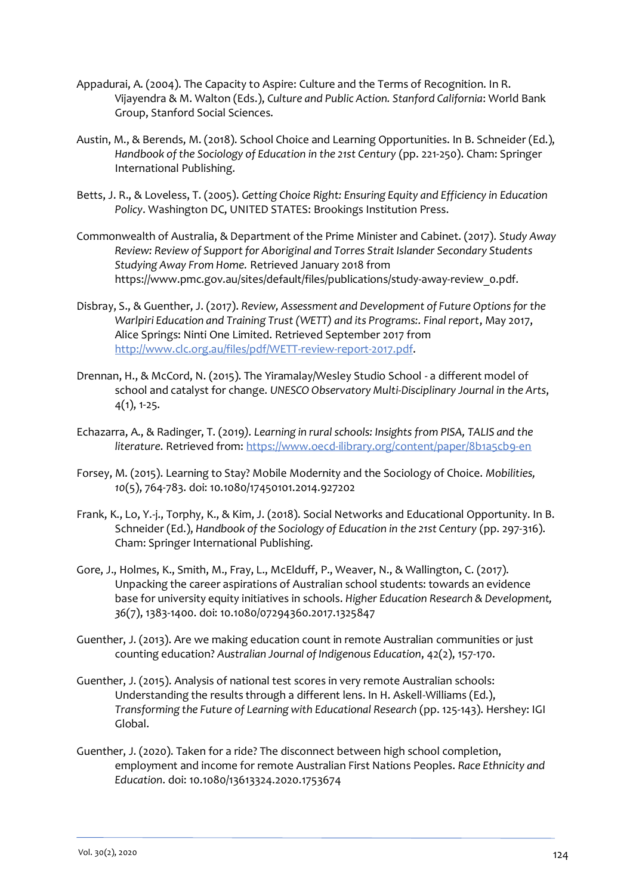- Appadurai, A. (2004). The Capacity to Aspire: Culture and the Terms of Recognition. In R. Vijayendra & M. Walton (Eds.), *Culture and Public Action. Stanford California*: World Bank Group, Stanford Social Sciences.
- Austin, M., & Berends, M. (2018). School Choice and Learning Opportunities. In B. Schneider (Ed.), *Handbook of the Sociology of Education in the 21st Century* (pp. 221-250). Cham: Springer International Publishing.
- Betts, J. R., & Loveless, T. (2005). *Getting Choice Right: Ensuring Equity and Efficiency in Education Policy*. Washington DC, UNITED STATES: Brookings Institution Press.
- Commonwealth of Australia, & Department of the Prime Minister and Cabinet. (2017). *Study Away Review: Review of Support for Aboriginal and Torres Strait Islander Secondary Students Studying Away From Home.* Retrieved January 2018 from https://www.pmc.gov.au/sites/default/files/publications/study-away-review\_0.pdf.
- Disbray, S., & Guenther, J. (2017). *Review, Assessment and Development of Future Options for the Warlpiri Education and Training Trust (WETT) and its Programs:. Final report*, May 2017, Alice Springs: Ninti One Limited. Retrieved September 2017 from [http://www.clc.org.au/files/pdf/WETT-review-report-2017.pdf.](http://www.clc.org.au/files/pdf/WETT-review-report-2017.pdf)
- Drennan, H., & McCord, N. (2015). The Yiramalay/Wesley Studio School a different model of school and catalyst for change. *UNESCO Observatory Multi-Disciplinary Journal in the Arts*, 4(1), 1-25.
- Echazarra, A., & Radinger, T. (2019*). Learning in rural schools: Insights from PISA, TALIS and the literature*. Retrieved from[: https://www.oecd-ilibrary.org/content/paper/8b1a5cb9-en](https://www.oecd-ilibrary.org/content/paper/8b1a5cb9-en)
- Forsey, M. (2015). Learning to Stay? Mobile Modernity and the Sociology of Choice. *Mobilities, 10*(5), 764-783. doi: 10.1080/17450101.2014.927202
- Frank, K., Lo, Y.-j., Torphy, K., & Kim, J. (2018). Social Networks and Educational Opportunity. In B. Schneider (Ed.), *Handbook of the Sociology of Education in the 21st Century* (pp. 297-316). Cham: Springer International Publishing.
- Gore, J., Holmes, K., Smith, M., Fray, L., McElduff, P., Weaver, N., & Wallington, C. (2017). Unpacking the career aspirations of Australian school students: towards an evidence base for university equity initiatives in schools. *Higher Education Research & Development, 36*(7), 1383-1400. doi: 10.1080/07294360.2017.1325847
- Guenther, J. (2013). Are we making education count in remote Australian communities or just counting education? *Australian Journal of Indigenous Education*, 42(2), 157-170.
- Guenther, J. (2015). Analysis of national test scores in very remote Australian schools: Understanding the results through a different lens. In H. Askell-Williams (Ed.), *Transforming the Future of Learning with Educational Research* (pp. 125-143). Hershey: IGI Global.
- Guenther, J. (2020). Taken for a ride? The disconnect between high school completion, employment and income for remote Australian First Nations Peoples. *Race Ethnicity and Education*. doi: 10.1080/13613324.2020.1753674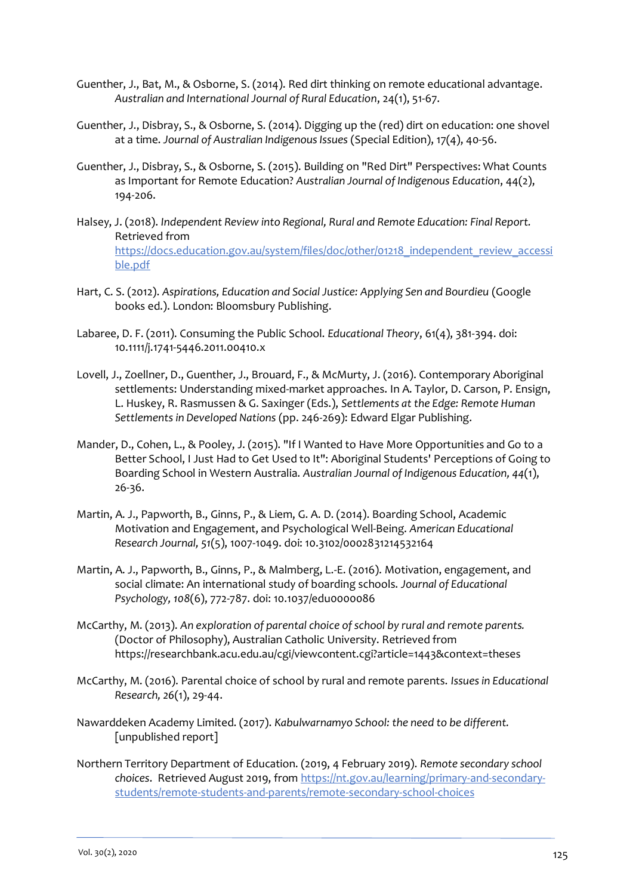- Guenther, J., Bat, M., & Osborne, S. (2014). Red dirt thinking on remote educational advantage. *Australian and International Journal of Rural Education*, 24(1), 51-67.
- Guenther, J., Disbray, S., & Osborne, S. (2014). Digging up the (red) dirt on education: one shovel at a time. *Journal of Australian Indigenous Issues* (Special Edition), 17(4), 40-56.
- Guenther, J., Disbray, S., & Osborne, S. (2015). Building on "Red Dirt" Perspectives: What Counts as Important for Remote Education? *Australian Journal of Indigenous Education*, 44(2), 194-206.
- Halsey, J. (2018). *Independent Review into Regional, Rural and Remote Education: Final Report.* Retrieved from [https://docs.education.gov.au/system/files/doc/other/01218\\_independent\\_review\\_accessi](https://docs.education.gov.au/system/files/doc/other/01218_independent_review_accessible.pdf) [ble.pdf](https://docs.education.gov.au/system/files/doc/other/01218_independent_review_accessible.pdf)
- Hart, C. S. (2012). *Aspirations, Education and Social Justice: Applying Sen and Bourdieu* (Google books ed.). London: Bloomsbury Publishing.
- Labaree, D. F. (2011). Consuming the Public School. *Educational Theory*, 61(4), 381-394. doi: 10.1111/j.1741-5446.2011.00410.x
- Lovell, J., Zoellner, D., Guenther, J., Brouard, F., & McMurty, J. (2016). Contemporary Aboriginal settlements: Understanding mixed-market approaches. In A. Taylor, D. Carson, P. Ensign, L. Huskey, R. Rasmussen & G. Saxinger (Eds.), *Settlements at the Edge: Remote Human Settlements in Developed Nations* (pp. 246-269): Edward Elgar Publishing.
- Mander, D., Cohen, L., & Pooley, J. (2015). "If I Wanted to Have More Opportunities and Go to a Better School, I Just Had to Get Used to It": Aboriginal Students' Perceptions of Going to Boarding School in Western Australia. *Australian Journal of Indigenous Education, 44*(1), 26-36.
- Martin, A. J., Papworth, B., Ginns, P., & Liem, G. A. D. (2014). Boarding School, Academic Motivation and Engagement, and Psychological Well-Being. *American Educational Research Journal, 51*(5), 1007-1049. doi: 10.3102/0002831214532164
- Martin, A. J., Papworth, B., Ginns, P., & Malmberg, L.-E. (2016). Motivation, engagement, and social climate: An international study of boarding schools. *Journal of Educational Psychology, 108*(6), 772-787. doi: 10.1037/edu0000086
- McCarthy, M. (2013). *An exploration of parental choice of school by rural and remote parents.* (Doctor of Philosophy), Australian Catholic University. Retrieved from https://researchbank.acu.edu.au/cgi/viewcontent.cgi?article=1443&context=theses
- McCarthy, M. (2016). Parental choice of school by rural and remote parents. *Issues in Educational Research, 26*(1), 29-44.
- Nawarddeken Academy Limited. (2017). *Kabulwarnamyo School: the need to be different.* [unpublished report]
- Northern Territory Department of Education. (2019, 4 February 2019). *Remote secondary school choices*. Retrieved August 2019, from [https://nt.gov.au/learning/primary-and-secondary](https://nt.gov.au/learning/primary-and-secondary-students/remote-students-and-parents/remote-secondary-school-choices)[students/remote-students-and-parents/remote-secondary-school-choices](https://nt.gov.au/learning/primary-and-secondary-students/remote-students-and-parents/remote-secondary-school-choices)